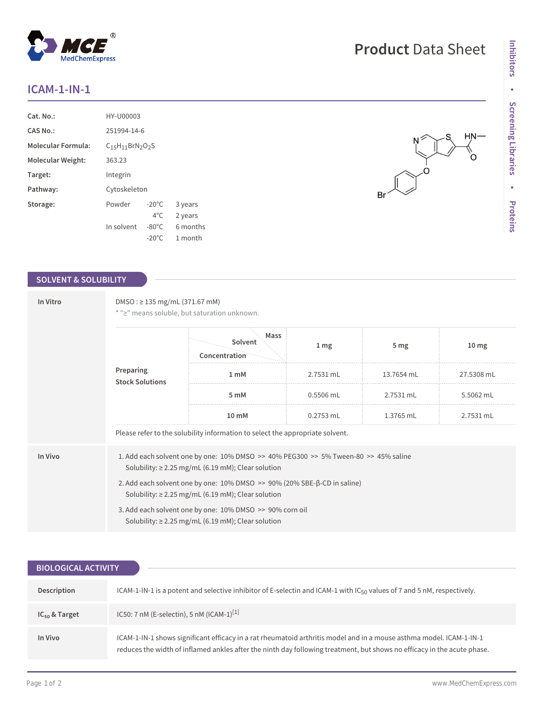## **ICAM-1-IN-1**

| $Cat. No.$ :              | HY-U00003       |                 |          |  |
|---------------------------|-----------------|-----------------|----------|--|
| <b>CAS No.:</b>           | 251994-14-6     |                 |          |  |
| <b>Molecular Formula:</b> | $C15H11BrN2O2S$ |                 |          |  |
| Molecular Weight:         | 363.23          |                 |          |  |
| Target:                   | Integrin        |                 |          |  |
| Pathway:                  | Cytoskeleton    |                 |          |  |
| Storage:                  | Powder          | $-20^{\circ}$ C | 3 years  |  |
|                           |                 | $4^{\circ}$ C.  | 2 years  |  |
|                           | In solvent      | $-80^{\circ}$ C | 6 months |  |
|                           |                 | $-20^{\circ}$ C | 1 month  |  |

## **SOLVENT & SOLUBILITY**

| In Vitro                            | $DMSO: \geq 135$ mg/mL (371.67 mM)<br>* ">" means soluble, but saturation unknown.                                                                            |                                                                               |                 |                 |                  |  |  |
|-------------------------------------|---------------------------------------------------------------------------------------------------------------------------------------------------------------|-------------------------------------------------------------------------------|-----------------|-----------------|------------------|--|--|
| Preparing<br><b>Stock Solutions</b> |                                                                                                                                                               | Mass<br>Solvent<br>Concentration                                              | 1 <sub>mg</sub> | 5 <sub>mg</sub> | 10 <sub>mg</sub> |  |  |
|                                     |                                                                                                                                                               | 1 <sub>mM</sub>                                                               | 2.7531 mL       | 13.7654 mL      | 27.5308 mL       |  |  |
|                                     |                                                                                                                                                               | 5 mM                                                                          | $0.5506$ mL     | 2.7531 mL       | 5.5062 mL        |  |  |
|                                     |                                                                                                                                                               | 10 mM                                                                         | $0.2753$ mL     | 1.3765 mL       | 2.7531 mL        |  |  |
|                                     |                                                                                                                                                               | Please refer to the solubility information to select the appropriate solvent. |                 |                 |                  |  |  |
| In Vivo                             | 1. Add each solvent one by one: $10\%$ DMSO $\geq$ 40% PEG300 $\geq$ 5% Tween-80 $\geq$ 45% saline<br>Solubility: $\geq$ 2.25 mg/mL (6.19 mM); Clear solution |                                                                               |                 |                 |                  |  |  |
|                                     | 2. Add each solvent one by one: 10% DMSO >> 90% (20% SBE-β-CD in saline)<br>Solubility: $\geq$ 2.25 mg/mL (6.19 mM); Clear solution                           |                                                                               |                 |                 |                  |  |  |
|                                     | 3. Add each solvent one by one: 10% DMSO >> 90% corn oil<br>Solubility: $\geq$ 2.25 mg/mL (6.19 mM); Clear solution                                           |                                                                               |                 |                 |                  |  |  |

| <b>BIOLOGICAL ACTIVITY</b> |                                                                                                                                                                                                                                                |  |  |  |
|----------------------------|------------------------------------------------------------------------------------------------------------------------------------------------------------------------------------------------------------------------------------------------|--|--|--|
|                            |                                                                                                                                                                                                                                                |  |  |  |
| Description                | ICAM-1-IN-1 is a potent and selective inhibitor of E-selectin and ICAM-1 with IC <sub>50</sub> values of 7 and 5 nM, respectively.                                                                                                             |  |  |  |
| $IC_{50}$ & Target         | IC50: 7 nM (E-selectin), 5 nM (ICAM-1) <sup>[1]</sup>                                                                                                                                                                                          |  |  |  |
| In Vivo                    | ICAM-1-IN-1 shows significant efficacy in a rat rheumatoid arthritis model and in a mouse asthma model. ICAM-1-IN-1<br>reduces the width of inflamed ankles after the ninth day following treatment, but shows no efficacy in the acute phase. |  |  |  |

 $H/N$  $\mathbb{R}^+$ 



Br